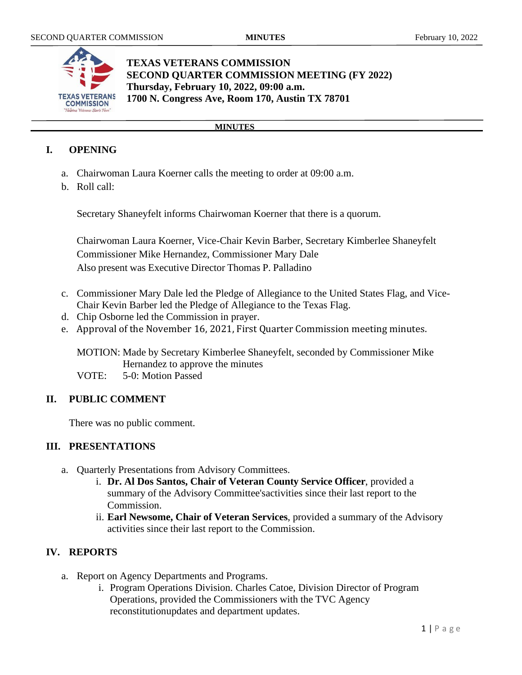

# **TEXAS VETERANS COMMISSION SECOND QUARTER COMMISSION MEETING (FY 2022) Thursday, February 10, 2022, 09:00 a.m. 1700 N. Congress Ave, Room 170, Austin TX 78701**

#### **MINUTES**

## **I. OPENING**

- a. Chairwoman Laura Koerner calls the meeting to order at 09:00 a.m.
- b. Roll call:

Secretary Shaneyfelt informs Chairwoman Koerner that there is a quorum.

Chairwoman Laura Koerner, Vice-Chair Kevin Barber, Secretary Kimberlee Shaneyfelt Commissioner Mike Hernandez, Commissioner Mary Dale Also present was Executive Director Thomas P. Palladino

- c. Commissioner Mary Dale led the Pledge of Allegiance to the United States Flag, and Vice-Chair Kevin Barber led the Pledge of Allegiance to the Texas Flag.
- d. Chip Osborne led the Commission in prayer.
- e. Approval of the November 16, 2021, First Quarter Commission meeting minutes.

MOTION: Made by Secretary Kimberlee Shaneyfelt, seconded by Commissioner Mike Hernandez to approve the minutes

VOTE: 5-0: Motion Passed

## **II. PUBLIC COMMENT**

There was no public comment.

## **III. PRESENTATIONS**

- a. Quarterly Presentations from Advisory Committees.
	- i. **Dr. Al Dos Santos, Chair of Veteran County Service Officer**, provided a summary of the Advisory Committee'sactivities since their last report to the Commission.
	- ii. **Earl Newsome, Chair of Veteran Services**, provided a summary of the Advisory activities since their last report to the Commission.

## **IV. REPORTS**

- a. Report on Agency Departments and Programs.
	- i. Program Operations Division. Charles Catoe, Division Director of Program Operations, provided the Commissioners with the TVC Agency reconstitutionupdates and department updates.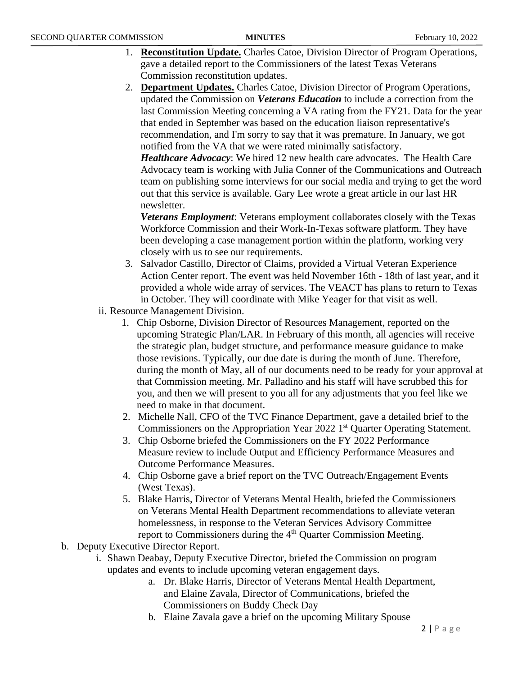- 1. **Reconstitution Update.** Charles Catoe, Division Director of Program Operations, gave a detailed report to the Commissioners of the latest Texas Veterans Commission reconstitution updates.
- 2. **Department Updates.** Charles Catoe, Division Director of Program Operations, updated the Commission on *Veterans Education* to include a correction from the last Commission Meeting concerning a VA rating from the FY21. Data for the year that ended in September was based on the education liaison representative's recommendation, and I'm sorry to say that it was premature. In January, we got notified from the VA that we were rated minimally satisfactory.

*Healthcare Advocacy*: We hired 12 new health care advocates. The Health Care Advocacy team is working with Julia Conner of the Communications and Outreach team on publishing some interviews for our social media and trying to get the word out that this service is available. Gary Lee wrote a great article in our last HR newsletter.

*Veterans Employment*: Veterans employment collaborates closely with the Texas Workforce Commission and their Work-In-Texas software platform. They have been developing a case management portion within the platform, working very closely with us to see our requirements.

- 3. Salvador Castillo, Director of Claims, provided a Virtual Veteran Experience Action Center report. The event was held November 16th - 18th of last year, and it provided a whole wide array of services. The VEACT has plans to return to Texas in October. They will coordinate with Mike Yeager for that visit as well.
- ii. Resource Management Division.
	- 1. Chip Osborne, Division Director of Resources Management, reported on the upcoming Strategic Plan/LAR. In February of this month, all agencies will receive the strategic plan, budget structure, and performance measure guidance to make those revisions. Typically, our due date is during the month of June. Therefore, during the month of May, all of our documents need to be ready for your approval at that Commission meeting. Mr. Palladino and his staff will have scrubbed this for you, and then we will present to you all for any adjustments that you feel like we need to make in that document.
	- 2. Michelle Nall, CFO of the TVC Finance Department, gave a detailed brief to the Commissioners on the Appropriation Year 2022 1<sup>st</sup> Quarter Operating Statement.
	- 3. Chip Osborne briefed the Commissioners on the FY 2022 Performance Measure review to include Output and Efficiency Performance Measures and Outcome Performance Measures.
	- 4. Chip Osborne gave a brief report on the TVC Outreach/Engagement Events (West Texas).
	- 5. Blake Harris, Director of Veterans Mental Health, briefed the Commissioners on Veterans Mental Health Department recommendations to alleviate veteran homelessness, in response to the Veteran Services Advisory Committee report to Commissioners during the  $4<sup>th</sup>$  Quarter Commission Meeting.
- b. Deputy Executive Director Report.
	- i. Shawn Deabay, Deputy Executive Director, briefed the Commission on program updates and events to include upcoming veteran engagement days.
		- a. Dr. Blake Harris, Director of Veterans Mental Health Department, and Elaine Zavala, Director of Communications, briefed the Commissioners on Buddy Check Day
		- b. Elaine Zavala gave a brief on the upcoming Military Spouse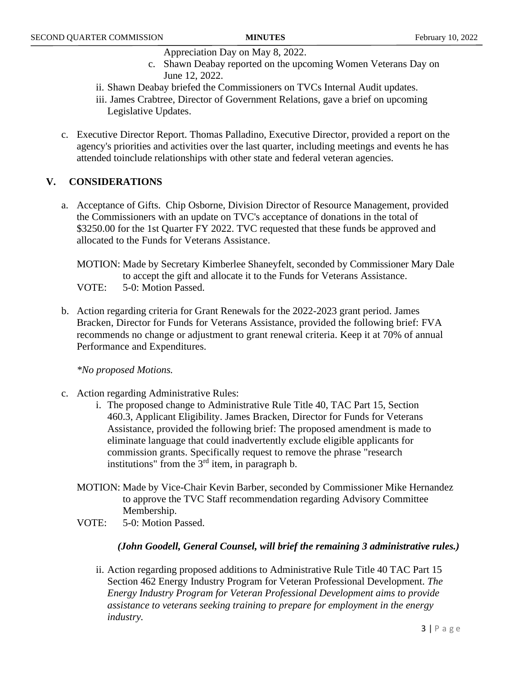- Appreciation Day on May 8, 2022.
- c. Shawn Deabay reported on the upcoming Women Veterans Day on June 12, 2022.
- ii. Shawn Deabay briefed the Commissioners on TVCs Internal Audit updates.
- iii. James Crabtree, Director of Government Relations, gave a brief on upcoming Legislative Updates.
- c. Executive Director Report. Thomas Palladino, Executive Director, provided a report on the agency's priorities and activities over the last quarter, including meetings and events he has attended toinclude relationships with other state and federal veteran agencies.

## **V. CONSIDERATIONS**

a. Acceptance of Gifts. Chip Osborne, Division Director of Resource Management, provided the Commissioners with an update on TVC's acceptance of donations in the total of \$3250.00 for the 1st Quarter FY 2022. TVC requested that these funds be approved and allocated to the Funds for Veterans Assistance.

MOTION: Made by Secretary Kimberlee Shaneyfelt, seconded by Commissioner Mary Dale to accept the gift and allocate it to the Funds for Veterans Assistance. VOTE: 5-0: Motion Passed.

b. Action regarding criteria for Grant Renewals for the 2022-2023 grant period. James Bracken, Director for Funds for Veterans Assistance, provided the following brief: FVA recommends no change or adjustment to grant renewal criteria. Keep it at 70% of annual Performance and Expenditures.

*\*No proposed Motions.*

- c. Action regarding Administrative Rules:
	- i. The proposed change to Administrative Rule Title 40, TAC Part 15, Section 460.3, Applicant Eligibility. James Bracken, Director for Funds for Veterans Assistance, provided the following brief: The proposed amendment is made to eliminate language that could inadvertently exclude eligible applicants for commission grants. Specifically request to remove the phrase "research institutions" from the 3rd item, in paragraph b.
	- MOTION: Made by Vice-Chair Kevin Barber, seconded by Commissioner Mike Hernandez to approve the TVC Staff recommendation regarding Advisory Committee Membership.
	- VOTE: 5-0: Motion Passed.

#### *(John Goodell, General Counsel, will brief the remaining 3 administrative rules.)*

ii. Action regarding proposed additions to Administrative Rule Title 40 TAC Part 15 Section 462 Energy Industry Program for Veteran Professional Development. *The Energy Industry Program for Veteran Professional Development aims to provide assistance to veterans seeking training to prepare for employment in the energy industry.*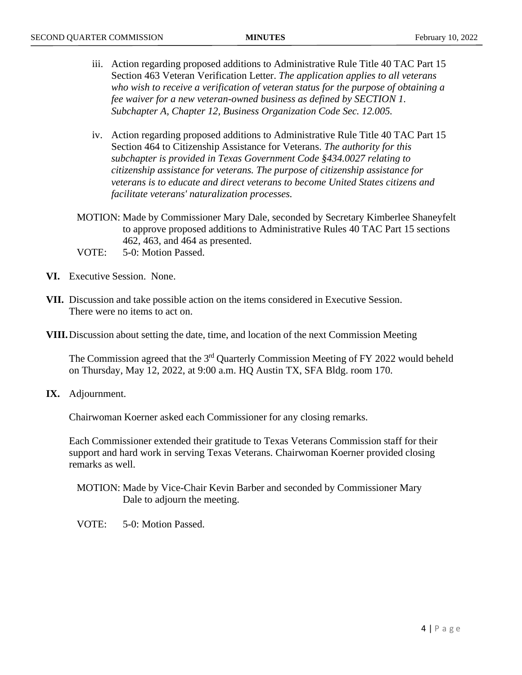- iii. Action regarding proposed additions to Administrative Rule Title 40 TAC Part 15 Section 463 Veteran Verification Letter. *The application applies to all veterans who wish to receive a verification of veteran status for the purpose of obtaining a fee waiver for a new veteran-owned business as defined by SECTION 1. Subchapter A, Chapter 12, Business Organization Code Sec. 12.005.*
- iv. Action regarding proposed additions to Administrative Rule Title 40 TAC Part 15 Section 464 to Citizenship Assistance for Veterans. *The authority for this subchapter is provided in Texas Government Code §434.0027 relating to citizenship assistance for veterans. The purpose of citizenship assistance for veterans is to educate and direct veterans to become United States citizens and facilitate veterans' naturalization processes.*
- MOTION: Made by Commissioner Mary Dale, seconded by Secretary Kimberlee Shaneyfelt to approve proposed additions to Administrative Rules 40 TAC Part 15 sections 462, 463, and 464 as presented.
- VOTE: 5-0: Motion Passed.
- **VI.** Executive Session. None.
- **VII.** Discussion and take possible action on the items considered in Executive Session. There were no items to act on.
- **VIII.**Discussion about setting the date, time, and location of the next Commission Meeting

The Commission agreed that the  $3<sup>rd</sup>$  Quarterly Commission Meeting of FY 2022 would beheld on Thursday, May 12, 2022, at 9:00 a.m. HQ Austin TX, SFA Bldg. room 170.

**IX.** Adjournment.

Chairwoman Koerner asked each Commissioner for any closing remarks.

Each Commissioner extended their gratitude to Texas Veterans Commission staff for their support and hard work in serving Texas Veterans. Chairwoman Koerner provided closing remarks as well.

MOTION: Made by Vice-Chair Kevin Barber and seconded by Commissioner Mary Dale to adjourn the meeting.

VOTE: 5-0: Motion Passed.